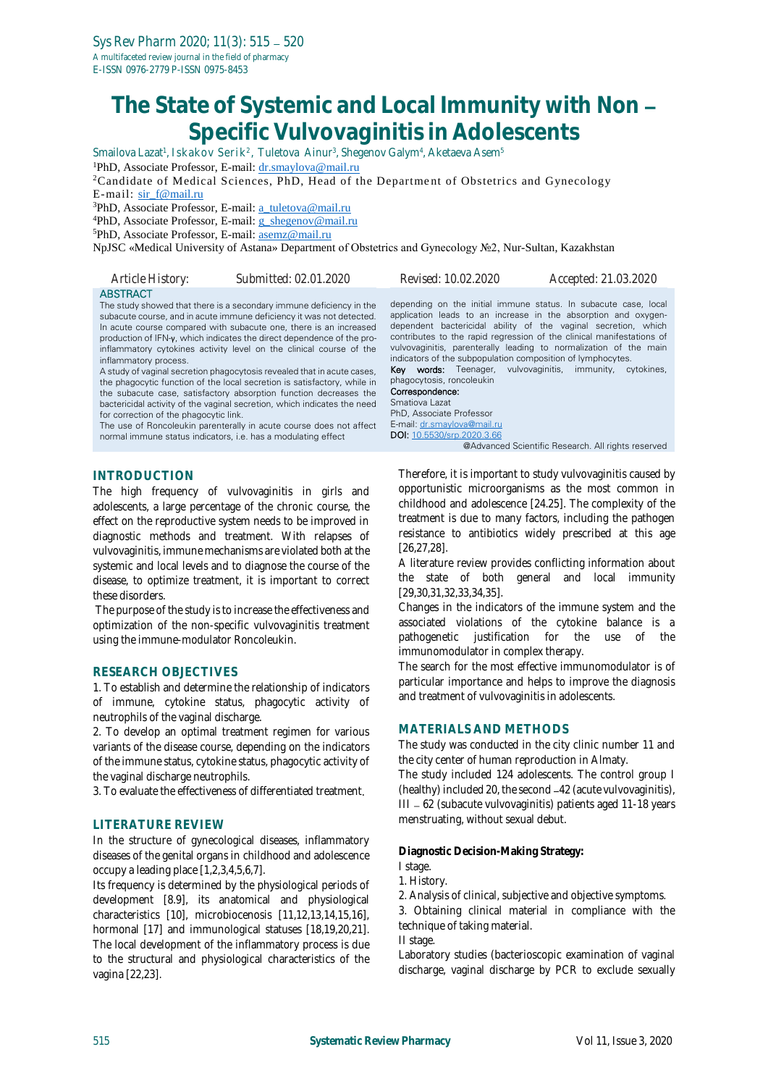# **The State of Systemic and Local Immunity with Non Specific Vulvovaginitis in Adolescents**

Smailova Lazat<sup>1</sup>, Iskakov Serik<sup>2</sup>, Tuletova Ainur<sup>3</sup>, Shegenov Galym<sup>4</sup>, Aketaeva Asem<sup>s</sup>

<sup>1</sup>PhD, Associate Professor, E-mail[: dr.smaylova@mail.ru](mailto:dr.smaylova@mail.ru)

<sup>2</sup>Candidate of Medical Sciences, PhD, Head of the Department of Obstetrics and Gynecology E-mail: [sir\\_f@mail.ru](mailto:sir_f@mail.ru)

<sup>3</sup>PhD, Associate Professor, E-mail[: a\\_tuletova@mail.ru](mailto:a_tuletova@mail.ru)

<sup>4</sup>PhD, Associate Professor, E-mail[: g\\_shegenov@mail.ru](mailto:g_shegenov@mail.ru)

<sup>5</sup>PhD, Associate Professor, E-mail[: asemz@mail.ru](mailto:asemz@mail.ru)

NpJSC «Medical University of Astana» Department of Obstetrics and Gynecology №2, Nur-Sultan, Kazakhstan

| Article History:      | Submitted: 02.01.2020                                                                                                                                                                                                                                                                                                                                                  | <i>Revised: 10.02.2020</i>                                                        | Accepted: 21.03.2020                                                                                                                                                                                                                                                                                                                              |
|-----------------------|------------------------------------------------------------------------------------------------------------------------------------------------------------------------------------------------------------------------------------------------------------------------------------------------------------------------------------------------------------------------|-----------------------------------------------------------------------------------|---------------------------------------------------------------------------------------------------------------------------------------------------------------------------------------------------------------------------------------------------------------------------------------------------------------------------------------------------|
| <b>ABSTRACT</b>       | The study showed that there is a secondary immune deficiency in the<br>subacute course, and in acute immune deficiency it was not detected.<br>In acute course compared with subacute one, there is an increased<br>production of $IFN-\nu$ , which indicates the direct dependence of the pro-<br>inflammatory cytokines activity level on the clinical course of the | indicators of the subpopulation composition of lymphocytes.                       | depending on the initial immune status. In subacute case, local<br>application leads to an increase in the absorption and oxygen-<br>dependent bactericidal ability of the vaginal secretion, which<br>contributes to the rapid regression of the clinical manifestations of<br>vulvovaginitis, parenterally leading to normalization of the main |
| inflammatory process. | A study of vaginal secretion phagocytosis revealed that in acute cases,<br>the phonograph function of the local coordian is cotisfectory while in                                                                                                                                                                                                                      | <b>Key words:</b> Teenager, vulvovaginitis, immunity,<br>phanocytosis roncoleukin | cytokines.                                                                                                                                                                                                                                                                                                                                        |

the phagocytic function of the local secretion is satisfactory, while in the subacute case, satisfactory absorption function decreases the bactericidal activity of the vaginal secretion, which indicates the need for correction of the phagocytic link.

The use of Roncoleukin parenterally in acute course does not affect normal immune status indicators, i.e. has a modulating effect

**INTRODUCTION**

The high frequency of vulvovaginitis in girls and adolescents, a large percentage of the chronic course, the effect on the reproductive system needs to be improved in diagnostic methods and treatment. With relapses of vulvovaginitis, immune mechanisms are violated both at the systemic and local levels and to diagnose the course of the disease, to optimize treatment, it is important to correct these disorders.

The purpose of the study is to increase the effectiveness and optimization of the non-specific vulvovaginitis treatment using the immune-modulator Roncoleukin.

### **RESEARCH OBJECTIVES**

1. To establish and determine the relationship of indicators of immune, cytokine status, phagocytic activity of neutrophils of the vaginal discharge.

2. To develop an optimal treatment regimen for various variants of the disease course, depending on the indicators of the immune status, cytokine status, phagocytic activity of the vaginal discharge neutrophils.

3. To evaluate the effectiveness of differentiated treatment.

#### **LITERATURE REVIEW**

In the structure of gynecological diseases, inflammatory diseases of the genital organs in childhood and adolescence occupy a leading place [1,2,3,4,5,6,7].

Its frequency is determined by the physiological periods of development [8.9], its anatomical and physiological characteristics [10], microbiocenosis [11,12,13,14,15,16], hormonal [17] and immunological statuses [18,19,20,21]. The local development of the inflammatory process is due to the structural and physiological characteristics of the vagina [22,23].

phagocytosis, roncoleukin Correspondence: Smatiova Lazat PhD, Associate Professor E-mail[: dr.smaylova@mail.ru](mailto:dr.smaylova@mail.ru) DOI[: 10.5530/srp.2020.3.66](http://dx.doi.org/10.5530/srp.2019.2.04) @Advanced Scientific Research. All rights reserved

Therefore, it is important to study vulvovaginitis caused by opportunistic microorganisms as the most common in childhood and adolescence [24.25]. The complexity of the

treatment is due to many factors, including the pathogen resistance to antibiotics widely prescribed at this age [26,27,28].

A literature review provides conflicting information about the state of both general and local immunity [29,30,31,32,33,34,35].

Changes in the indicators of the immune system and the associated violations of the cytokine balance is a pathogenetic justification for the use of the immunomodulator in complex therapy.

The search for the most effective immunomodulator is of particular importance and helps to improve the diagnosis and treatment of vulvovaginitis in adolescents.

#### **MATERIALS AND METHODS**

The study was conducted in the city clinic number 11 and the city center of human reproduction in Almaty.

The study included 124 adolescents. The control group I (healthy) included 20, the second -42 (acute vulvovaginitis), III - 62 (subacute vulvovaginitis) patients aged 11-18 years menstruating, without sexual debut.

**Diagnostic Decision-Making Strategy:**

- I stage.
- 1. History.

2. Analysis of clinical, subjective and objective symptoms.

3. Obtaining clinical material in compliance with the technique of taking material.

II stage.

Laboratory studies (bacterioscopic examination of vaginal discharge, vaginal discharge by PCR to exclude sexually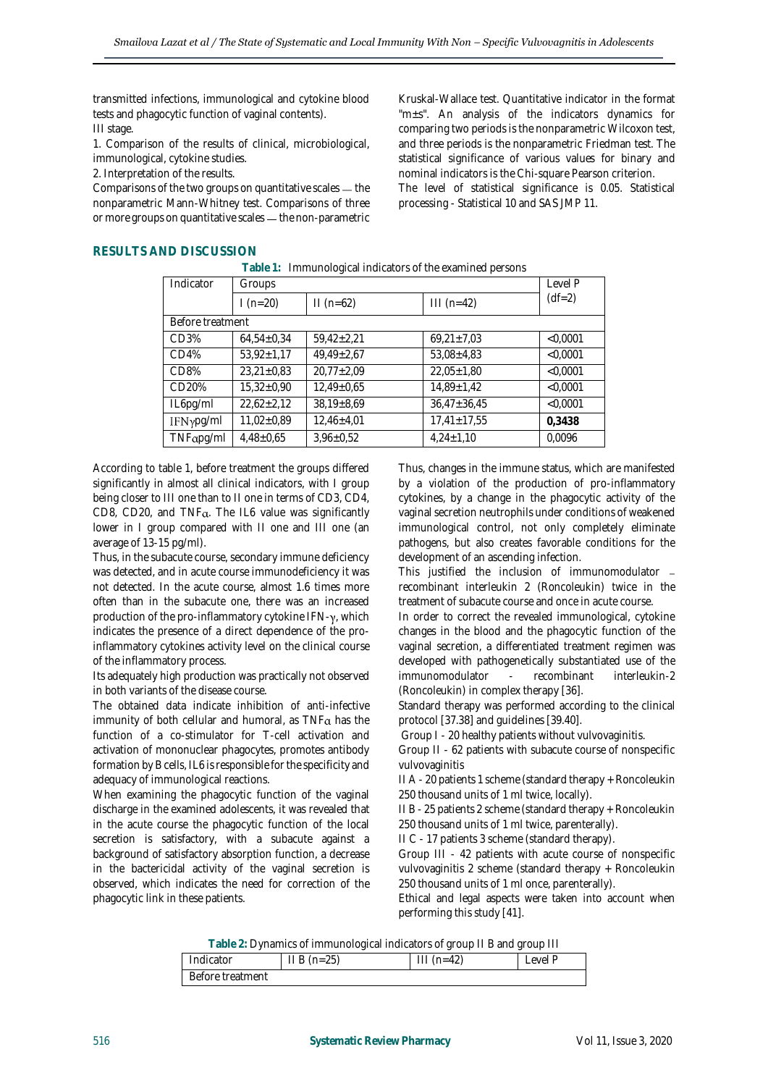transmitted infections, immunological and cytokine blood tests and phagocytic function of vaginal contents). III stage.

1. Comparison of the results of clinical, microbiological, immunological, cytokine studies.

2. Interpretation of the results.

Comparisons of the two groups on quantitative scales  $-$  the nonparametric Mann-Whitney test. Comparisons of three or more groups on quantitative scales — the non-parametric

Kruskal-Wallace test. Quantitative indicator in the format "m±s". An analysis of the indicators dynamics for comparing two periods is the nonparametric Wilcoxon test, and three periods is the nonparametric Friedman test. The statistical significance of various values for binary and nominal indicators is the Chi-square Pearson criterion. The level of statistical significance is 0.05. Statistical processing - Statistical 10 and SAS JMP 11.

## **RESULTS AND DISCUSSION**

**Table 1:** Immunological indicators of the examined persons

| Indicator         | Groups           |                  |                   | Level P  |
|-------------------|------------------|------------------|-------------------|----------|
|                   | l (n=20)         | $II(n=62)$       | $III(n=42)$       | $(df=2)$ |
| Before treatment  |                  |                  |                   |          |
| CD3%              | $64,54+0,34$     | $59,42 \pm 2,21$ | $69,21 \pm 7,03$  | < 0.0001 |
| CD4%              | $53,92 \pm 1,17$ | $49.49 \pm 2.67$ | $53,08 \pm 4,83$  | < 0.0001 |
| CD <sub>8</sub> % | $23,21\pm0,83$   | $20,77 \pm 2,09$ | $22,05 \pm 1,80$  | < 0.0001 |
| CD20%             | $15,32\pm0,90$   | $12,49\pm0.65$   | $14,89 \pm 1,42$  | < 0.0001 |
| IL6pg/ml          | $22,62+2,12$     | $38,19+8,69$     | $36,47 \pm 36,45$ | < 0.0001 |
| IFNypg/ml         | $11,02\pm0,89$   | $12,46+4,01$     | $17,41 \pm 17,55$ | 0,3438   |
| TNFapq/ml         | $4,48\pm0,65$    | $3,96 \pm 0.52$  | $4,24 \pm 1,10$   | 0,0096   |

According to table 1, before treatment the groups differed significantly in almost all clinical indicators, with I group being closer to III one than to II one in terms of CD3, CD4, CD8, CD20, and  $TNF\alpha$ . The IL6 value was significantly lower in I group compared with II one and III one (an average of 13-15 pg/ml).

Thus, in the subacute course, secondary immune deficiency was detected, and in acute course immunodeficiency it was not detected. In the acute course, almost 1.6 times more often than in the subacute one, there was an increased production of the pro-inflammatory cytokine  $IFN-\gamma$ , which indicates the presence of a direct dependence of the proinflammatory cytokines activity level on the clinical course of the inflammatory process.

Its adequately high production was practically not observed in both variants of the disease course.

The obtained data indicate inhibition of anti-infective immunity of both cellular and humoral, as  $TNF_{\alpha}$  has the function of a co-stimulator for T-cell activation and activation of mononuclear phagocytes, promotes antibody formation by B cells, IL6 is responsible for the specificity and adequacy of immunological reactions.

When examining the phagocytic function of the vaginal discharge in the examined adolescents, it was revealed that in the acute course the phagocytic function of the local secretion is satisfactory, with a subacute against a background of satisfactory absorption function, a decrease in the bactericidal activity of the vaginal secretion is observed, which indicates the need for correction of the phagocytic link in these patients.

Thus, changes in the immune status, which are manifested by a violation of the production of pro-inflammatory cytokines, by a change in the phagocytic activity of the vaginal secretion neutrophils under conditions of weakened immunological control, not only completely eliminate pathogens, but also creates favorable conditions for the development of an ascending infection.

This justified the inclusion of immunomodulator recombinant interleukin 2 (Roncoleukin) twice in the treatment of subacute course and once in acute course.

In order to correct the revealed immunological, cytokine changes in the blood and the phagocytic function of the vaginal secretion, a differentiated treatment regimen was developed with pathogenetically substantiated use of the immunomodulator - recombinant interleukin-2 (Roncoleukin) in complex therapy [36].

Standard therapy was performed according to the clinical protocol [37.38] and guidelines [39.40].

Group I - 20 healthy patients without vulvovaginitis.

Group II - 62 patients with subacute course of nonspecific vulvovaginitis

II A - 20 patients 1 scheme (standard therapy + Roncoleukin 250 thousand units of 1 ml twice, locally).

II B - 25 patients 2 scheme (standard therapy + Roncoleukin 250 thousand units of 1 ml twice, parenterally).

II C - 17 patients 3 scheme (standard therapy).

Group III - 42 patients with acute course of nonspecific vulvovaginitis 2 scheme (standard therapy + Roncoleukin 250 thousand units of 1 ml once, parenterally).

Ethical and legal aspects were taken into account when performing this study [41].

**Table 2:** Dynamics of immunological indicators of group II B and group III

| $\frac{1}{2}$ abive $\frac{1}{2}$ . By frammos or immunicational manually son quodibini B and quodibini |               |             |         |  |
|---------------------------------------------------------------------------------------------------------|---------------|-------------|---------|--|
| Indicator                                                                                               | $II B (n=25)$ | $III(n=42)$ | Level P |  |
| Before treatment                                                                                        |               |             |         |  |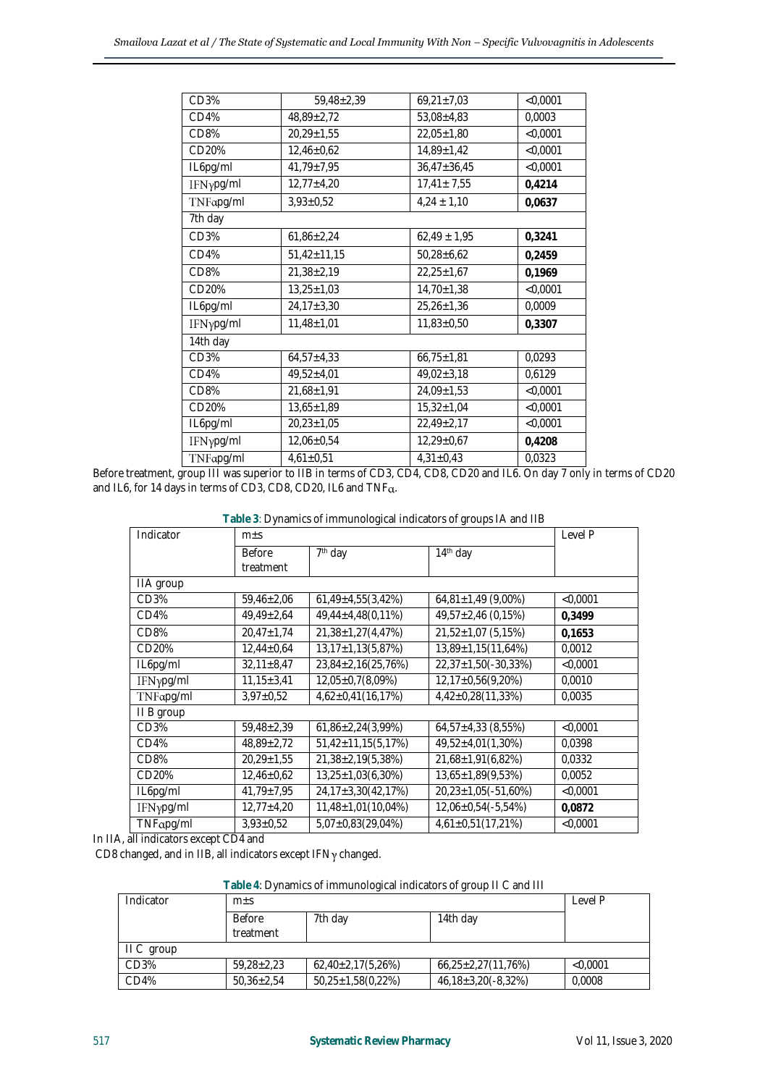| CD3%              | $59,48 \pm 2,39$  | $69,21 \pm 7,03$  | $<$ 0,0001 |
|-------------------|-------------------|-------------------|------------|
| CD4%              | 48,89±2,72        | $53,08 + 4,83$    | 0,0003     |
| CD <sub>8</sub> % | $20,29 \pm 1,55$  | $22.05 \pm 1.80$  | < 0.0001   |
| CD20%             | $12,46\pm0,62$    | $14,89 \pm 1,42$  | < 0,0001   |
| IL6pg/ml          | $41,79 \pm 7,95$  | $36,47 \pm 36,45$ | $<$ 0,0001 |
| IFNypg/ml         | $12,77 \pm 4,20$  | $17,41 \pm 7,55$  | 0,4214     |
| TNFapg/ml         | $3.93 \pm 0.52$   | $4,24 \pm 1,10$   | 0,0637     |
| 7th day           |                   |                   |            |
| CD3%              | $61,86 \pm 2,24$  | $62,49 \pm 1,95$  | 0,3241     |
| CD4%              | $51,42 \pm 11,15$ | $50,28 \pm 6,62$  | 0,2459     |
| CD <sub>8</sub> % | $21,38 \pm 2,19$  | $22.25 \pm 1.67$  | 0,1969     |
| CD20%             | $13,25 \pm 1,03$  | $14,70\pm1,38$    | < 0.0001   |
| IL6pg/ml          | $24,17 \pm 3,30$  | $25,26 \pm 1,36$  | 0,0009     |
| IFNypg/ml         | $11,48 \pm 1,01$  | $11,83 \pm 0,50$  | 0,3307     |
| 14th day          |                   |                   |            |
| CD <sub>3</sub> % | $64,57 \pm 4,33$  | $66,75 \pm 1,81$  | 0,0293     |
| CD4%              | $49,52 \pm 4,01$  | $49,02 \pm 3,18$  | 0,6129     |
| CD <sub>8</sub> % | $21,68 \pm 1,91$  | $24.09 \pm 1.53$  | < 0.0001   |
| CD20%             | $13,65 \pm 1,89$  | $15,32 \pm 1,04$  | < 0,0001   |
| IL6pg/ml          | $20,23 \pm 1,05$  | $22,49\pm2,17$    | < 0,0001   |
| IFNypg/ml         | $12,06 \pm 0,54$  | $12,29\pm0,67$    | 0,4208     |
| TNFapg/ml         | $4,61\pm0,51$     | $4,31\pm0.43$     | 0,0323     |
|                   |                   |                   |            |

Before treatment, group III was superior to IIB in terms of CD3, CD4, CD8, CD20 and IL6. On day 7 only in terms of CD20 and IL6, for 14 days in terms of CD3, CD8, CD20, IL6 and TNFa.

**Table 3**: Dynamics of immunological indicators of groups IA and IIB

| Indicator         | $m+S$            |                                  |                            | Level P  |
|-------------------|------------------|----------------------------------|----------------------------|----------|
|                   | <b>Before</b>    | $\overline{7}$ <sup>th</sup> day | 14th day                   |          |
|                   | treatment        |                                  |                            |          |
| IIA group         |                  |                                  |                            |          |
| CD3%              | $59,46 \pm 2,06$ | $61,49 \pm 4,55(3,42%)$          | $64,81\pm1,49$ (9,00%)     | < 0.0001 |
| CD4%              | $49,49 \pm 2,64$ | $49,44 \pm 4,48(0,11\%)$         | $49,57 \pm 2,46$ (0,15%)   | 0.3499   |
| CD <sub>8</sub> % | $20,47 \pm 1,74$ | $21,38 \pm 1,27(4,47%)$          | $21,52\pm1,07(5,15\%)$     | 0.1653   |
| CD20%             | $12,44\pm0.64$   | $13,17 \pm 1,13(5,87%)$          | $13,89 \pm 1,15(11,64\%)$  | 0,0012   |
| IL6pg/ml          | $32,11\pm8,47$   | $23,84 \pm 2,16(25,76%)$         | $22,37 \pm 1,50(-30,33\%)$ | < 0.0001 |
| IFNypg/ml         | $11,15 \pm 3,41$ | $12,05\pm0.7(8,09\%)$            | $12,17\pm0.56(9,20\%)$     | 0,0010   |
| TNFapg/ml         | $3,97 \pm 0,52$  | $4,62\pm0,41(16,17\%)$           | $4,42\pm0,28(11,33\%)$     | 0,0035   |
| II B group        |                  |                                  |                            |          |
| CD3%              | $59,48 \pm 2,39$ | $61,86\pm2,24(3,99%)$            | $64,57 \pm 4,33$ (8,55%)   | < 0.0001 |
| CD4%              | $48,89 \pm 2,72$ | $51,42 \pm 11,15(5,17%)$         | $49,52 \pm 4,01(1,30\%)$   | 0,0398   |
| CD <sub>8</sub> % | $20.29 \pm 1.55$ | $21,38\pm2,19(5,38\%)$           | $21,68 \pm 1,91(6,82%)$    | 0,0332   |
| CD20%             | $12,46\pm0,62$   | $13,25 \pm 1,03(6,30\%)$         | $13,65 \pm 1,89(9,53\%)$   | 0,0052   |
| IL6pg/ml          | $41,79 \pm 7,95$ | 24,17±3,30(42,17%)               | $20,23 \pm 1,05(-51,60\%)$ | < 0.0001 |
| IFNypg/ml         | $12,77 \pm 4,20$ | 11,48±1,01(10,04%)               | 12,06±0,54(-5,54%)         | 0,0872   |
| TNFapq/ml         | $3,93\pm0,52$    | $5,07\pm0,83(29,04\%)$           | $4,61\pm0,51(17,21\%)$     | < 0.0001 |

In IIA, all indicators except CD4 and

CD8 changed, and in IIB, all indicators except IFNy changed.

**Table 4**: Dynamics of immunological indicators of group II C and III

| Indicator  | $m+S$            |                          |                         | Level P  |
|------------|------------------|--------------------------|-------------------------|----------|
|            | <b>Before</b>    | 7th day                  | 14th day                |          |
|            | treatment        |                          |                         |          |
| II C group |                  |                          |                         |          |
| CD3%       | $59.28 \pm 2.23$ | $62,40\pm2,17(5,26\%)$   | $66,25\pm2,27(11,76%)$  | < 0.0001 |
| CD4%       | $50.36 \pm 2.54$ | $50,25 \pm 1,58(0,22\%)$ | $46,18\pm3,20(-8,32\%)$ | 0.0008   |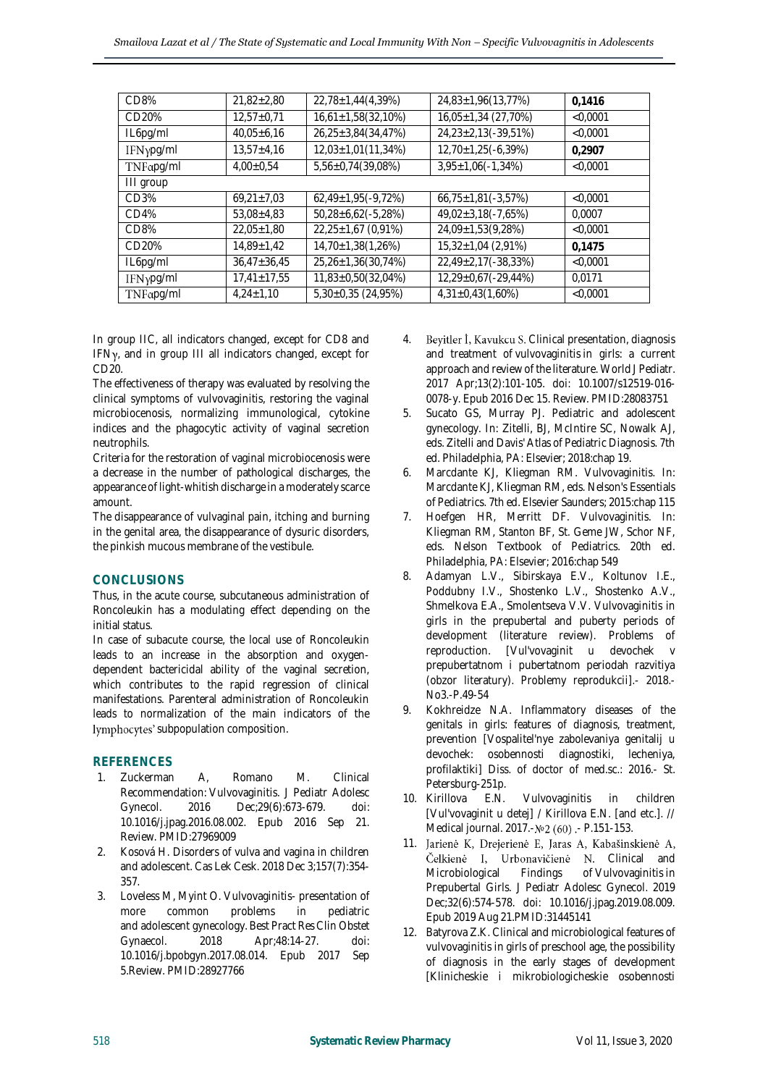| CD8%      | $21,82 \pm 2,80$  | $22,78 \pm 1,44(4,39\%)$ | 24,83±1,96(13,77%)                | 0.1416     |  |
|-----------|-------------------|--------------------------|-----------------------------------|------------|--|
| CD20%     | $12.57 \pm 0.71$  | $16,61\pm1,58(32,10\%)$  | $\overline{16,05}$ ±1,34 (27,70%) | < 0.0001   |  |
| IL6pg/ml  | $40,05+6,16$      | 26,25±3,84(34,47%)       | $24,23\pm2,13(-39,51\%)$          | < 0,0001   |  |
| IFNγpg/ml | $13,57 \pm 4,16$  | 12,03±1,01(11,34%)       | $12,70 \pm 1,25(-6,39\%)$         | 0.2907     |  |
| TNFapg/ml | $4.00 \pm 0.54$   | 5,56±0,74(39,08%)        | $3,95 \pm 1,06(-1,34\%)$          | < 0.0001   |  |
| III group |                   |                          |                                   |            |  |
| CD3%      | $69,21 \pm 7,03$  | $62,49\pm1,95(-9,72%)$   | $66,75 \pm 1,81(-3,57%)$          | $<$ 0,0001 |  |
| CD4%      | $53,08+4,83$      | $50,28 \pm 6,62(-5,28%)$ | $49,02 \pm 3,18(-7,65%)$          | 0.0007     |  |
| CD8%      | $22.05 \pm 1.80$  | 22,25±1,67 (0,91%)       | $\overline{24,09}$ ±1,53(9,28%)   | < 0.0001   |  |
| CD20%     | $14,89 \pm 1,42$  | 14,70±1,38(1,26%)        | $15,32 \pm 1,04$ (2,91%)          | 0.1475     |  |
| IL6pg/ml  | $36,47 \pm 36,45$ | 25,26±1,36(30,74%)       | 22,49±2,17(-38,33%)               | < 0.0001   |  |
| IFNypg/ml | $17,41 \pm 17,55$ | 11,83±0,50(32,04%)       | 12,29±0,67(-29,44%)               | 0.0171     |  |
| TNFapg/ml | $4.24 \pm 1.10$   | $5,30\pm0,35$ (24,95%)   | $4,31\pm0,43(1,60\%)$             | < 0.0001   |  |

In group IIC, all indicators changed, except for CD8 and IFN<sub>y</sub>, and in group III all indicators changed, except for CD20.

The effectiveness of therapy was evaluated by resolving the clinical symptoms of vulvovaginitis, restoring the vaginal microbiocenosis, normalizing immunological, cytokine indices and the phagocytic activity of vaginal secretion neutrophils.

Criteria for the restoration of vaginal microbiocenosis were a decrease in the number of pathological discharges, the appearance of light-whitish discharge in a moderately scarce amount.

The disappearance of vulvaginal pain, itching and burning in the genital area, the disappearance of dysuric disorders, the pinkish mucous membrane of the vestibule.

## **CONCLUSIONS**

Thus, in the acute course, subcutaneous administration of Roncoleukin has a modulating effect depending on the initial status.

In case of subacute course, the local use of Roncoleukin leads to an increase in the absorption and oxygendependent bactericidal ability of the vaginal secretion, which contributes to the rapid regression of clinical manifestations. Parenteral administration of Roncoleukin leads to normalization of the main indicators of the lymphocytes' subpopulation composition.

## **REFERENCES**

- 1. Zuckerman A, Romano M. [Clinical](https://www.ncbi.nlm.nih.gov/pubmed/27969009)  [Recommendation:](https://www.ncbi.nlm.nih.gov/pubmed/27969009) Vulvovaginitis. J Pediatr Adolesc Gynecol. 2016 Dec;29(6):673-679. doi: 10.1016/j.jpag.2016.08.002. Epub 2016 Sep 21. Review. PMID:27969009
- 2. [Kosová H.](https://www.ncbi.nlm.nih.gov/pubmed/?term=Kosov%C3%A1%20H%5BAuthor%5D&cauthor=true&cauthor_uid=30650979) Disorders of vulva and vagina in children and adolescent. Cas Lek [Cesk.](https://www.ncbi.nlm.nih.gov/pubmed/30650979) 2018 Dec 3;157(7):354- 357.
- 3. Loveless M, Myint O[. Vulvovaginitis-](https://www.ncbi.nlm.nih.gov/pubmed/28927766) presentation of more common problems in and adolescent [gynecology.](https://www.ncbi.nlm.nih.gov/pubmed/28927766) Best Pract Res Clin Obstet Gynaecol. 2018 Apr;48:14-27. doi: 10.1016/j.bpobgyn.2017.08.014. Epub 2017 Sep 5.Review. PMID:28927766
- 4. Beyitler İ, Kavukcu S. Clinical presentation, diagnosis and treatment of vulvovaginitis [in girls: a current](https://www.ncbi.nlm.nih.gov/pubmed/28083751)  [approach and review of the literature.](https://www.ncbi.nlm.nih.gov/pubmed/28083751) World J Pediatr. 2017 Apr;13(2):101-105. doi: 10.1007/s12519-016- 0078-y. Epub 2016 Dec 15. Review. PMID:28083751
- 5. Sucato GS, Murray PJ. Pediatric and adolescent gynecology. In: Zitelli, BJ, McIntire SC, Nowalk AJ, eds. Zitelli and Davis' Atlas of Pediatric Diagnosis. 7th ed. Philadelphia, PA: Elsevier; 2018:chap 19.
- 6. Marcdante KJ, Kliegman RM. Vulvovaginitis. In: Marcdante KJ, Kliegman RM, eds. Nelson's Essentials of Pediatrics. 7th ed. Elsevier Saunders; 2015:chap 115
- 7. Hoefgen HR, Merritt DF. Vulvovaginitis. In: Kliegman RM, Stanton BF, St. Geme JW, Schor NF, eds. Nelson Textbook of Pediatrics. 20th ed. Philadelphia, PA: Elsevier; 2016:chap 549
- 8. Adamyan L.V., Sibirskaya E.V., Koltunov I.E., Poddubny I.V., Shostenko L.V., Shostenko A.V., Shmelkova E.A., Smolentseva V.V. Vulvovaginitis in girls in the prepubertal and puberty periods of development (literature review). Problems of reproduction. [Vul'vovaginit u devochek v prepubertatnom i pubertatnom periodah razvitiya (obzor literatury). Problemy reprodukcii].- 2018.- No3.-P.49-54
- 9. Kokhreidze N.A. Inflammatory diseases of the genitals in girls: features of diagnosis, treatment, prevention [Vospalitel'nye zabolevaniya genitalij u devochek: osobennosti diagnostiki, lecheniya, profilaktiki] Diss. of doctor of med.sc.: 2016.- St. Petersburg-251p.
- 10. Kirillova E.N. Vulvovaginitis in children [Vul'vovaginit u detej] / Kirillova E.N. [and etc.]. // Medical journal. 2017.- Nº 2 (60). - P.151-153.
- 11. Jarienė K, Dreierienė E, Jaras A, Kabašinskienė A, Čelkienė I, Urbonavičienė N. Clinical and [Microbiological Findings of](https://www.ncbi.nlm.nih.gov/pubmed/31445141) Vulvovaginitis in [Prepubertal Girls.](https://www.ncbi.nlm.nih.gov/pubmed/31445141) J Pediatr Adolesc Gynecol. 2019 Dec;32(6):574-578. doi: 10.1016/j.jpag.2019.08.009. Epub 2019 Aug 21.PMID:31445141
- 12. Batyrova Z.K. Clinical and microbiological features of vulvovaginitis in girls of preschool age, the possibility of diagnosis in the early stages of development [Klinicheskie i mikrobiologicheskie osobennosti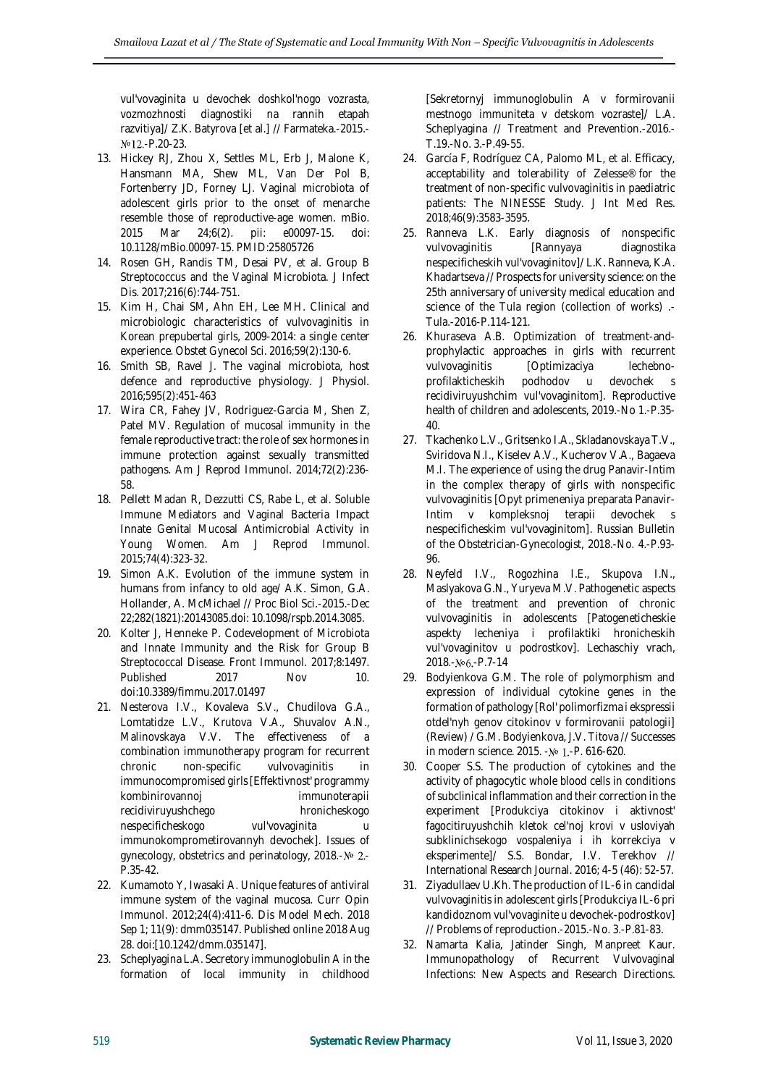vul'vovaginita u devochek doshkol'nogo vozrasta, vozmozhnosti diagnostiki na rannih etapah razvitiya]/ Z.K. Batyrova [et al.] // Farmateka.-2015.- Nº12.-P.20-23.

- 13. Hickey RJ, Zhou X, Settles ML, Erb J, Malone K, Hansmann MA, Shew ML, Van Der Pol B, Fortenberry JD, Forney LJ. Vaginal microbiota of adolescent girls prior to the onset of menarche resemble those of reproductive-age women. mBio.<br>2015 Mar 24;6(2). pii: e00097-15. doi: 2015 Mar 24;6(2). pii: e00097-15. doi: 10.1128/mBio.00097-15. PMID:25805726
- 14. Rosen GH, Randis TM, Desai PV, et al. Group B Streptococcus and the Vaginal Microbiota. J Infect Dis. 2017;216(6):744-751.
- 15. Kim H, Chai SM, Ahn EH, Lee MH. Clinical and microbiologic characteristics of vulvovaginitis in Korean prepubertal girls, 2009-2014: a single center experience. Obstet Gynecol Sci. 2016;59(2):130-6.
- 16. Smith SB, Ravel J. The vaginal microbiota, host defence and reproductive physiology. J Physiol. 2016;595(2):451-463
- 17. Wira CR, Fahey JV, Rodriguez-Garcia M, Shen Z, Patel MV. Regulation of mucosal immunity in the female reproductive tract: the role of sex hormones in immune protection against sexually transmitted pathogens. Am J Reprod Immunol. 2014;72(2):236- 58.
- 18. Pellett Madan R, Dezzutti CS, Rabe L, et al. Soluble Immune Mediators and Vaginal Bacteria Impact Innate Genital Mucosal Antimicrobial Activity in Young Women. Am J Reprod Immunol. 2015;74(4):323-32.
- 19. Simon A.K. Evolution of the immune system in humans from infancy to old age/ A.K. Simon, G.A. Hollander, A. McMichael // Proc Biol Sci.-2015.-Dec 22;282(1821):20143085.doi: 10.1098/rspb.2014.3085.
- 20. Kolter J, Henneke P. Codevelopment of Microbiota and Innate Immunity and the Risk for Group B Streptococcal Disease. Front Immunol. 2017;8:1497. Published 2017 Nov 10. doi:10.3389/fimmu.2017.01497
- 21. Nesterova I.V., Kovaleva S.V., Chudilova G.A., Lomtatidze L.V., Krutova V.A., Shuvalov A.N., Malinovskaya V.V. The effectiveness of a combination immunotherapy program for recurrent chronic non-specific vulvovaginitis in immunocompromised girls [Effektivnost' programmy kombinirovannoj immunoterapii recidiviruyushchego hronicheskogo nespecificheskogo vul'vovaginita immunokomprometirovannyh devochek]. Issues of gynecology, obstetrics and perinatology, 2018.- $N<sub>2</sub>$ . P.35-42.
- 22. Kumamoto Y, Iwasaki A. Unique features of antiviral immune system of the vaginal mucosa. Curr Opin Immunol. 2012;24(4):411-6. Dis Model Mech. 2018 Sep 1; 11(9): dmm035147. Published online 2018 Aug 28. doi:[10.1242/dmm.035147].
- 23. Scheplyagina L.A. Secretory immunoglobulin A in the formation of local immunity in childhood

[Sekretornyj immunoglobulin A v formirovanii mestnogo immuniteta v detskom vozraste]/ L.A. Scheplyagina // Treatment and Prevention.-2016.- T.19.-No. 3.-P.49-55.

- 24. García F, Rodríguez CA, Palomo ML, et al. Efficacy, acceptability and tolerability of Zelesse® for the treatment of non-specific vulvovaginitis in paediatric patients: The NINESSE Study. J Int Med Res. 2018;46(9):3583-3595.
- 25. Ranneva L.K. Early diagnosis of nonspecific vulvovaginitis [Rannyaya nespecificheskih vul'vovaginitov]/ L.K. Ranneva, K.A. Khadartseva // Prospects for university science: on the 25th anniversary of university medical education and science of the Tula region (collection of works) .- Tula.-2016-P.114-121.
- 26. Khuraseva A.B. Optimization of treatment-andprophylactic approaches in girls with recurrent vulvovaginitis [Optimizaciya lechebnoprofilakticheskih podhodov u devochek s recidiviruyushchim vul'vovaginitom]. Reproductive health of children and adolescents, 2019.-No 1.-P.35- 40.
- 27. Tkachenko L.V., Gritsenko I.A., Skladanovskaya T.V., Sviridova N.I., Kiselev A.V., Kucherov V.A., Bagaeva M.I. The experience of using the drug Panavir-Intim in the complex therapy of girls with nonspecific vulvovaginitis [Opyt primeneniya preparata Panavir-Intim v kompleksnoj terapii devochek s nespecificheskim vul'vovaginitom]. Russian Bulletin of the Obstetrician-Gynecologist, 2018.-No. 4.-P.93- 96.
- 28. Neyfeld I.V., Rogozhina I.E., Skupova I.N., Maslyakova G.N., Yuryeva M.V. Pathogenetic aspects of the treatment and prevention of chronic vulvovaginitis in adolescents [Patogeneticheskie aspekty lecheniya i profilaktiki hronicheskih vul'vovaginitov u podrostkov]. Lechaschiy vrach, 2018.-No6.-P.7-14
- 29. Bodyienkova G.M. The role of polymorphism and expression of individual cytokine genes in the formation of pathology [Rol' polimorfizma i ekspressii otdel'nyh genov citokinov v formirovanii patologii] (Review) / G.M. Bodyienkova, J.V. Titova // Successes in modern science. 2015. - № 1.-P. 616-620.
- 30. Cooper S.S. The production of cytokines and the activity of phagocytic whole blood cells in conditions of subclinical inflammation and their correction in the experiment [Produkciya citokinov i aktivnost' fagocitiruyushchih kletok cel'noj krovi v usloviyah subklinichsekogo vospaleniya i ih korrekciya v eksperimente]/ S.S. Bondar, I.V. Terekhov // International Research Journal. 2016; 4-5 (46): 52-57.
- 31. Ziyadullaev U.Kh. The production of IL-6 in candidal vulvovaginitis in adolescent girls [Produkciya IL-6 pri kandidoznom vul'vovaginite u devochek-podrostkov] // Problems of reproduction.-2015.-No. 3.-P.81-83.
- 32. Namarta Kalia, Jatinder Singh, Manpreet Kaur. Immunopathology of Recurrent Vulvovaginal Infections: New Aspects and Research Directions.